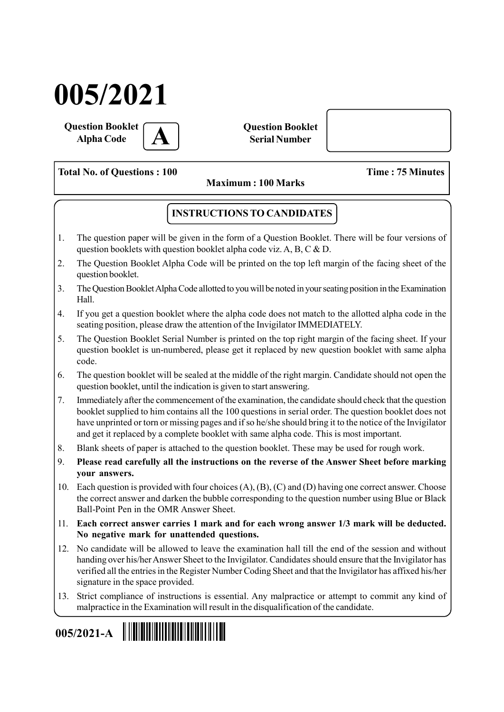# 005/2021

Question Booklet **Alpha Code** 



Question Booklet Serial Number

## Total No. of Ouestions : 100 Time : 75 Minutes

Maximum : 100 Marks

## INSTRUCTIONS TO CANDIDATES

- 1. The question paper will be given in the form of a Question Booklet. There will be four versions of question booklets with question booklet alpha code viz. A, B, C & D.
- 2. The Question Booklet Alpha Code will be printed on the top left margin of the facing sheet of the question booklet.
- 3. The Question Booklet Alpha Code allotted to you will be noted in your seating position in the Examination Hall.
- 4. If you get a question booklet where the alpha code does not match to the allotted alpha code in the seating position, please draw the attention of the Invigilator IMMEDIATELY.
- 5. The Question Booklet Serial Number is printed on the top right margin of the facing sheet. If your question booklet is un-numbered, please get it replaced by new question booklet with same alpha code.
- 6. The question booklet will be sealed at the middle of the right margin. Candidate should not open the question booklet, until the indication is given to start answering.
- 7. Immediately after the commencement of the examination, the candidate should check that the question booklet supplied to him contains all the 100 questions in serial order. The question booklet does not have unprinted or torn or missing pages and if so he/she should bring it to the notice of the Invigilator and get it replaced by a complete booklet with same alpha code. This is most important.
- 8. Blank sheets of paper is attached to the question booklet. These may be used for rough work.
- 9. Please read carefully all the instructions on the reverse of the Answer Sheet before marking your answers.
- 10. Each question is provided with four choices (A), (B), (C) and (D) having one correct answer. Choose the correct answer and darken the bubble corresponding to the question number using Blue or Black Ball-Point Pen in the OMR Answer Sheet.
- 11. Each correct answer carries 1 mark and for each wrong answer 1/3 mark will be deducted. No negative mark for unattended questions.
- 12. No candidate will be allowed to leave the examination hall till the end of the session and without handing over his/her Answer Sheet to the Invigilator. Candidates should ensure that the Invigilator has verified all the entries in the Register Number Coding Sheet and that the Invigilator has affixed his/her signature in the space provided.
- 13. Strict compliance of instructions is essential. Any malpractice or attempt to commit any kind of malpractice in the Examination will result in the disqualification of the candidate.

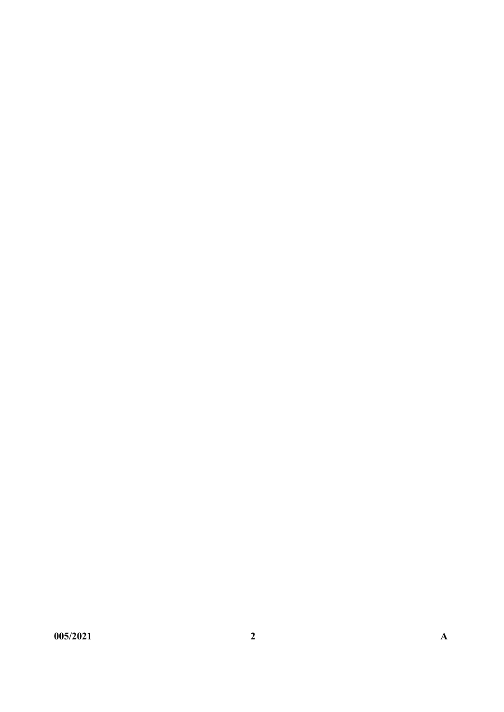005/2021 2 A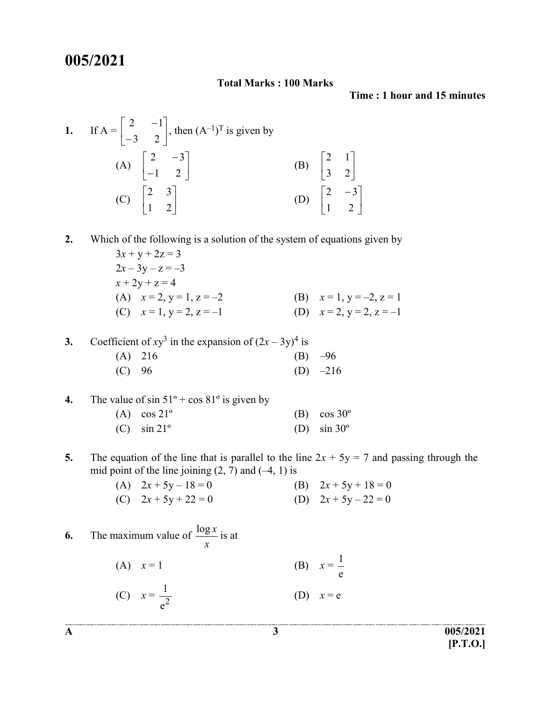## 005/2021

#### Total Marks : 100 Marks

Time : 1 hour and 15 minutes

1. If 
$$
A = \begin{bmatrix} 2 & -1 \ -3 & 2 \end{bmatrix}
$$
, then  $(A^{-1})^T$  is given by  
\n(A)  $\begin{bmatrix} 2 & -3 \ -1 & 2 \end{bmatrix}$  (B)  $\begin{bmatrix} 2 & 1 \ 3 & 2 \end{bmatrix}$   
\n(C)  $\begin{bmatrix} 2 & 3 \ 1 & 2 \end{bmatrix}$  (D)  $\begin{bmatrix} 2 & -3 \ 1 & 2 \end{bmatrix}$ 

2. Which of the following is a solution of the system of equations given by

- $3x + y + 2z = 3$  $2x - 3y - z = -3$  $x + 2y + z = 4$ (A)  $x = 2$ ,  $y = 1$ ,  $z = -2$  (B)  $x = 1$ ,  $y = -2$ ,  $z = 1$ (C)  $x = 1, y = 2, z = -1$  (D)  $x = 2, y = 2, z = -1$
- 3. Coefficient of  $xy^3$  in the expansion of  $(2x-3y)^4$  is

| $(A)$ 216 | $(B) -96$ |            |
|-----------|-----------|------------|
| (C) 96    |           | (D) $-216$ |

- 4. The value of  $\sin 51^\circ + \cos 81^\circ$  is given by (A)  $\cos 21^\circ$  (B)  $\cos 30^\circ$ (C)  $\sin 21^\circ$  (D)  $\sin 30^\circ$
- 5. The equation of the line that is parallel to the line  $2x + 5y = 7$  and passing through the mid point of the line joining  $(2, 7)$  and  $(-4, 1)$  is

e 1

| (A) $2x + 5y - 18 = 0$ | (B) $2x + 5y + 18 = 0$ |
|------------------------|------------------------|
| (C) $2x + 5y + 22 = 0$ | (D) $2x + 5y - 22 = 0$ |

6. The maximum value of 
$$
\frac{\log x}{x}
$$
 is at  
(A)  $x = 1$  (B)  $x =$ 

(C) 
$$
x = \frac{1}{e^2}
$$
 (D)  $x = e$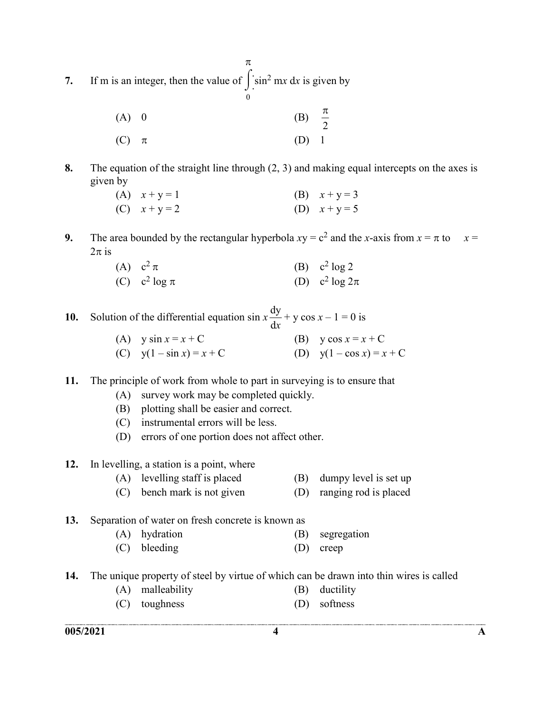7. If m is an integer, then the value of  $\int$ : 0  $\sin^2 mx \, dx$  is given by

| $(A)$ 0     | (B) $\frac{\pi}{2}$ |  |
|-------------|---------------------|--|
| $(C)$ $\pi$ | $(D)$ 1             |  |

 $\pi$ 

8. The equation of the straight line through (2, 3) and making equal intercepts on the axes is given by

| (A) $x + y = 1$ | (B) $x + y = 3$ |
|-----------------|-----------------|
| (C) $x + y = 2$ | (D) $x + y = 5$ |

9. The area bounded by the rectangular hyperbola  $xy = c^2$  and the x-axis from  $x = \pi$  to  $x =$  $2\pi$  is

| (A) $c^2 \pi$      | (B) $c^2 \log 2$    |
|--------------------|---------------------|
| (C) $c^2 \log \pi$ | (D) $c^2 \log 2\pi$ |

10. Solution of the differential equation  $\sin x$ dx  $\frac{dy}{dx}$  + y cos x – 1 = 0 is

(A)  $y \sin x = x + C$  (B)  $y \cos x = x + C$ (C)  $y(1 - \sin x) = x + C$  (D)  $y(1 - \cos x) = x + C$ 

## 11. The principle of work from whole to part in surveying is to ensure that

- (A) survey work may be completed quickly.
- (B) plotting shall be easier and correct.
- (C) instrumental errors will be less.
- (D) errors of one portion does not affect other.

## 12. In levelling, a station is a point, where

- (A) levelling staff is placed (B) dumpy level is set up
- (C) bench mark is not given (D) ranging rod is placed

## 13. Separation of water on fresh concrete is known as

- (A) hydration (B) segregation (C) bleeding (D) creep
- 14. The unique property of steel by virtue of which can be drawn into thin wires is called
	- (A) malleability (B) ductility
	- (C) toughness (D) softness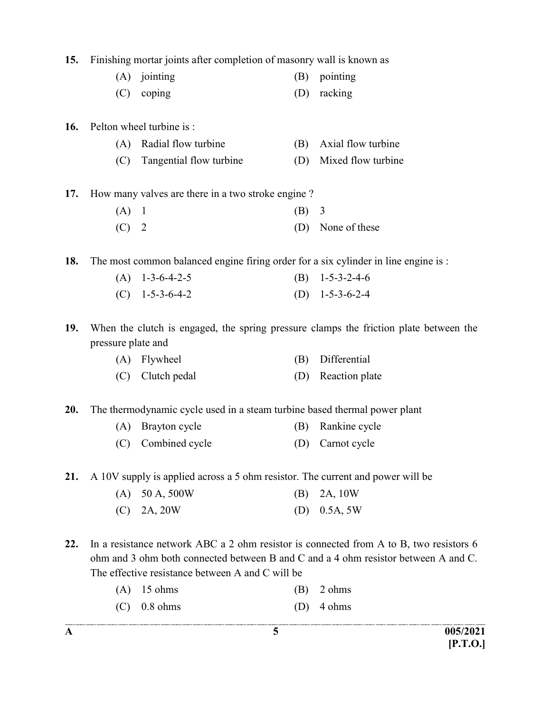| 15. |                    | Finishing mortar joints after completion of masonry wall is known as      |     |                                                                                       |
|-----|--------------------|---------------------------------------------------------------------------|-----|---------------------------------------------------------------------------------------|
|     |                    | $(A)$ jointing                                                            | (B) | pointing                                                                              |
|     | (C)                | coping                                                                    | (D) | racking                                                                               |
| 16. |                    | Pelton wheel turbine is:                                                  |     |                                                                                       |
|     | (A)                | Radial flow turbine                                                       | (B) | Axial flow turbine                                                                    |
|     | (C)                | Tangential flow turbine                                                   | (D) | Mixed flow turbine                                                                    |
| 17. |                    | How many valves are there in a two stroke engine?                         |     |                                                                                       |
|     | $(A)$ 1            |                                                                           | (B) | 3                                                                                     |
|     | $(C)$ 2            |                                                                           | (D) | None of these                                                                         |
| 18. |                    |                                                                           |     | The most common balanced engine firing order for a six cylinder in line engine is :   |
|     | (A)                | $1 - 3 - 6 - 4 - 2 - 5$                                                   | (B) | $1 - 5 - 3 - 2 - 4 - 6$                                                               |
|     |                    | $(C)$ 1-5-3-6-4-2                                                         |     | $(D)$ 1-5-3-6-2-4                                                                     |
| 19. | pressure plate and |                                                                           |     | When the clutch is engaged, the spring pressure clamps the friction plate between the |
|     | (A)                | Flywheel                                                                  | (B) | Differential                                                                          |
|     | (C)                | Clutch pedal                                                              | (D) | Reaction plate                                                                        |
| 20. |                    | The thermodynamic cycle used in a steam turbine based thermal power plant |     |                                                                                       |
|     |                    | (A) Brayton cycle                                                         | (B) | Rankine cycle                                                                         |
|     |                    | (C) Combined cycle                                                        |     | (D) Carnot cycle                                                                      |
| 21. |                    |                                                                           |     | A 10V supply is applied across a 5 ohm resistor. The current and power will be        |
|     | (A)                | 50 A, 500W                                                                | (B) | 2A, 10W                                                                               |
|     | (C)                | 2A, 20W                                                                   | (D) | 0.5A, 5W                                                                              |
|     |                    |                                                                           |     |                                                                                       |

22. In a resistance network ABC a 2 ohm resistor is connected from A to B, two resistors 6 ohm and 3 ohm both connected between B and C and a 4 ohm resistor between A and C. The effective resistance between A and C will be

| A |                |     | 005/2021                                                                                                                                                                                                                                      |
|---|----------------|-----|-----------------------------------------------------------------------------------------------------------------------------------------------------------------------------------------------------------------------------------------------|
|   | $(C)$ 0.8 ohms |     | $(D)$ 4 ohms<br>EGA FOOM THE COMPOSTIVE COMPOSTIVE COMPOSTIVE COMPOSTIVE COMPOSTIVE COMPOSTIVE COMPOSTIVE COMPOSTIVE COMPOSTIVE COMPOSTIVE COMPOSTIVE COMPOSTIVE COMPOSTIVE COMPOSTIVE COMPOSTIVE COMPOSTIVE COMPOSTIVE COMPOSTIVE COMPOSTIVE |
|   |                |     |                                                                                                                                                                                                                                               |
|   | $(A)$ 15 ohms  | (B) | 2 ohms                                                                                                                                                                                                                                        |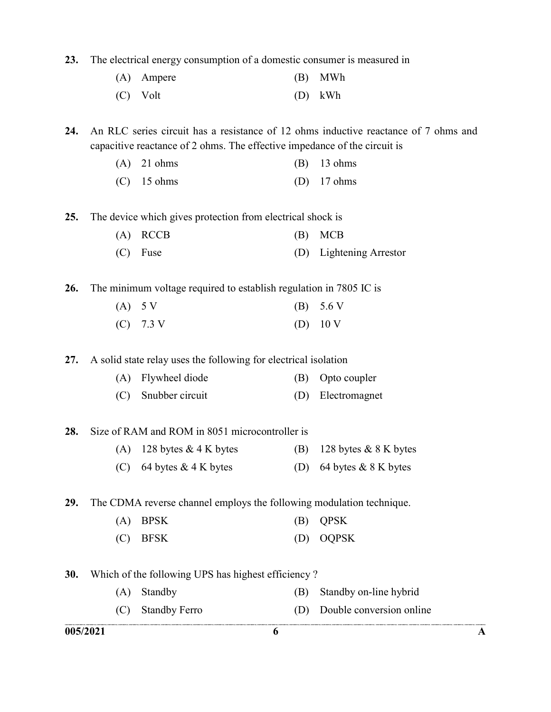23. The electrical energy consumption of a domestic consumer is measured in

| (A) Ampere | (B) MWh   |
|------------|-----------|
| (C) Volt   | $(D)$ kWh |

24. An RLC series circuit has a resistance of 12 ohms inductive reactance of 7 ohms and capacitive reactance of 2 ohms. The effective impedance of the circuit is

| $(A)$ 21 ohms | $(B)$ 13 ohms |
|---------------|---------------|
| $(C)$ 15 ohms | $(D)$ 17 ohms |

25. The device which gives protection from electrical shock is

| (A) RCCB   | $(B)$ MCB               |
|------------|-------------------------|
| $(C)$ Fuse | (D) Lightening Arrestor |

26. The minimum voltage required to establish regulation in 7805 IC is

| $(A)$ 5 V |             | (B) $5.6 \text{ V}$ |
|-----------|-------------|---------------------|
|           | $(C)$ 7.3 V | (D) 10 V            |

27. A solid state relay uses the following for electrical isolation

- (A) Flywheel diode (B) Opto coupler
- (C) Snubber circuit (D) Electromagnet

28. Size of RAM and ROM in 8051 microcontroller is

- (A) 128 bytes  $& 4 K$  bytes (B) 128 bytes  $& 8 K$  bytes
- (C) 64 bytes  $\&$  4 K bytes (D) 64 bytes  $\&$  8 K bytes

29. The CDMA reverse channel employs the following modulation technique.

| $(A)$ BPSK | $(B)$ QPSK |
|------------|------------|
| $(C)$ BFSK | (D) OQPSK  |

30. Which of the following UPS has highest efficiency ?

 (A) Standby (B) Standby on-line hybrid (C) Standby Ferro (D) Double conversion online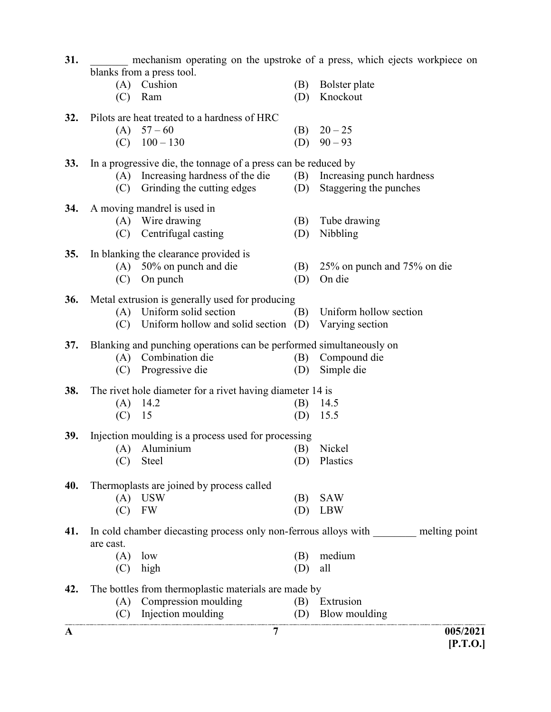| 31. |            | blanks from a press tool.                                           |            | mechanism operating on the upstroke of a press, which ejects workpiece on     |
|-----|------------|---------------------------------------------------------------------|------------|-------------------------------------------------------------------------------|
|     |            | (A) Cushion                                                         | (B)        | Bolster plate                                                                 |
|     | (C)        | Ram                                                                 | (D)        | Knockout                                                                      |
| 32. |            | Pilots are heat treated to a hardness of HRC                        |            |                                                                               |
|     |            | (A) $57-60$                                                         | (B)        | $20 - 25$                                                                     |
|     | (C)        | $100 - 130$                                                         | (D)        | $90 - 93$                                                                     |
| 33. |            | In a progressive die, the tonnage of a press can be reduced by      |            |                                                                               |
|     | (A)        | Increasing hardness of the die                                      | (B)        | Increasing punch hardness                                                     |
|     | (C)        | Grinding the cutting edges                                          | (D)        | Staggering the punches                                                        |
| 34. |            | A moving mandrel is used in                                         |            |                                                                               |
|     |            | (A) Wire drawing<br>Centrifugal casting                             | (B)<br>(D) | Tube drawing<br>Nibbling                                                      |
|     | (C)        |                                                                     |            |                                                                               |
| 35. |            | In blanking the clearance provided is                               |            |                                                                               |
|     | (A)        | 50% on punch and die                                                | (B)        | 25% on punch and 75% on die<br>On die                                         |
|     | (C)        | On punch                                                            | (D)        |                                                                               |
| 36. |            | Metal extrusion is generally used for producing                     |            |                                                                               |
|     |            | (A) Uniform solid section                                           | (B)        | Uniform hollow section<br>Varying section                                     |
|     | (C)        | Uniform hollow and solid section (D)                                |            |                                                                               |
| 37. |            | Blanking and punching operations can be performed simultaneously on |            |                                                                               |
|     | (A)<br>(C) | Combination die<br>Progressive die                                  | (B)<br>(D) | Compound die<br>Simple die                                                    |
|     |            |                                                                     |            |                                                                               |
| 38. |            | The rivet hole diameter for a rivet having diameter 14 is           |            |                                                                               |
|     | (C)        | $(A)$ 14.2<br>15                                                    | (B)<br>(D) | 14.5<br>15.5                                                                  |
|     |            |                                                                     |            |                                                                               |
| 39. |            | Injection moulding is a process used for processing                 |            |                                                                               |
|     | (A)<br>(C) | Aluminium<br><b>Steel</b>                                           | (B)<br>(D) | Nickel<br>Plastics                                                            |
|     |            |                                                                     |            |                                                                               |
| 40. |            | Thermoplasts are joined by process called                           |            |                                                                               |
|     | (A)        | <b>USW</b>                                                          | (B)        | <b>SAW</b>                                                                    |
|     | (C)        | <b>FW</b>                                                           | (D)        | <b>LBW</b>                                                                    |
| 41. |            |                                                                     |            | In cold chamber diecasting process only non-ferrous alloys with melting point |
|     | are cast.  |                                                                     |            |                                                                               |
|     | (A)<br>(C) | low<br>high                                                         | (B)<br>(D) | medium<br>all                                                                 |
|     |            |                                                                     |            |                                                                               |
| 42. |            | The bottles from thermoplastic materials are made by                |            |                                                                               |
|     | (A)<br>(C) | Compression moulding<br>Injection moulding                          | (B)<br>(D) | Extrusion<br>Blow moulding                                                    |
|     |            |                                                                     |            |                                                                               |
| A   |            | 7                                                                   |            | 005/2021                                                                      |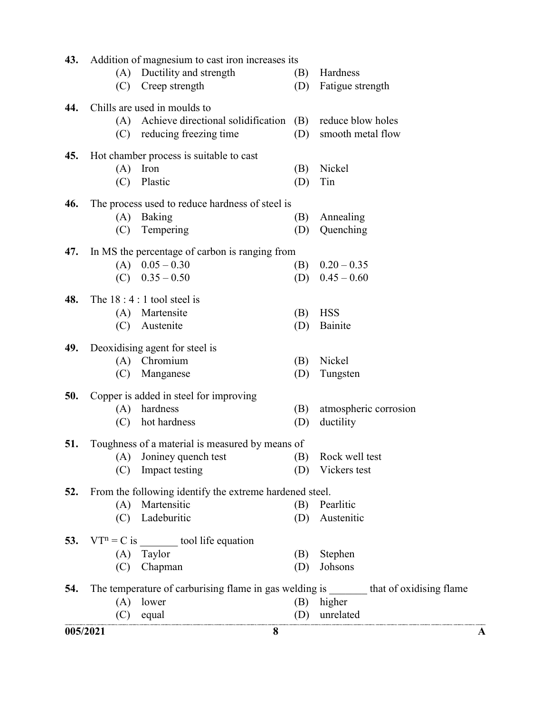| 005/2021 |            | 8                                                            |            |                                                                                                  | А |
|----------|------------|--------------------------------------------------------------|------------|--------------------------------------------------------------------------------------------------|---|
|          | (C)        | equal                                                        | (D)        | unrelated                                                                                        |   |
| 54.      | (A)        | lower                                                        | (B)        | The temperature of carburising flame in gas welding is _______ that of oxidising flame<br>higher |   |
|          |            |                                                              |            |                                                                                                  |   |
|          | (A)<br>(C) | Taylor<br>Chapman                                            | (B)<br>(D) | Stephen<br>Johsons                                                                               |   |
| 53.      |            | $VTn = C$ is tool life equation                              |            |                                                                                                  |   |
|          | (C)        |                                                              | (D)        | Austenitic                                                                                       |   |
|          | (A)        | Martensitic<br>Ladeburitic                                   | (B)        | Pearlitic                                                                                        |   |
| 52.      |            | From the following identify the extreme hardened steel.      |            |                                                                                                  |   |
|          |            |                                                              |            |                                                                                                  |   |
|          | (C)        | (A) Joniney quench test (B) Rock well test<br>Impact testing | (D)        | Vickers test                                                                                     |   |
| 51.      |            | Toughness of a material is measured by means of              |            |                                                                                                  |   |
|          |            |                                                              |            |                                                                                                  |   |
|          | (A)<br>(C) | hardness<br>hot hardness                                     | (B)<br>(D) | atmospheric corrosion<br>ductility                                                               |   |
| 50.      |            | Copper is added in steel for improving                       |            |                                                                                                  |   |
|          |            |                                                              |            |                                                                                                  |   |
|          | (A)<br>(C) | Manganese                                                    | (B)<br>(D) | Tungsten                                                                                         |   |
| 49.      |            | Deoxidising agent for steel is<br>Chromium                   |            | Nickel                                                                                           |   |
|          |            |                                                              |            |                                                                                                  |   |
|          | (C)        | Austenite                                                    | (D)        | Bainite                                                                                          |   |
| 48.      |            | The $18:4:1$ tool steel is<br>(A) Martensite                 | (B)        | <b>HSS</b>                                                                                       |   |
|          |            |                                                              |            |                                                                                                  |   |
|          | (C)        | $0.35 - 0.50$                                                | (D)        | $0.45 - 0.60$                                                                                    |   |
|          |            | $(A)$ 0.05 - 0.30                                            | (B)        | $0.20 - 0.35$                                                                                    |   |
| 47.      |            | In MS the percentage of carbon is ranging from               |            |                                                                                                  |   |
|          | (C)        | Tempering                                                    | (D)        | Quenching                                                                                        |   |
|          | (A)        | <b>Baking</b>                                                | (B)        | Annealing                                                                                        |   |
| 46.      |            | The process used to reduce hardness of steel is              |            |                                                                                                  |   |
|          | (C)        | Plastic                                                      | (D)        | Tin                                                                                              |   |
|          |            | $(A)$ Iron                                                   | (B)        | Nickel                                                                                           |   |
| 45.      |            | Hot chamber process is suitable to cast                      |            |                                                                                                  |   |
|          | (C)        | reducing freezing time                                       | (D)        | smooth metal flow                                                                                |   |
|          |            | (A) Achieve directional solidification (B)                   |            | reduce blow holes                                                                                |   |
| 44.      |            | Chills are used in moulds to                                 |            |                                                                                                  |   |
|          | (C)        | Creep strength                                               | (D)        | Fatigue strength                                                                                 |   |
|          |            | (A) Ductility and strength                                   | (B)        | Hardness                                                                                         |   |
| 43.      |            | Addition of magnesium to cast iron increases its             |            |                                                                                                  |   |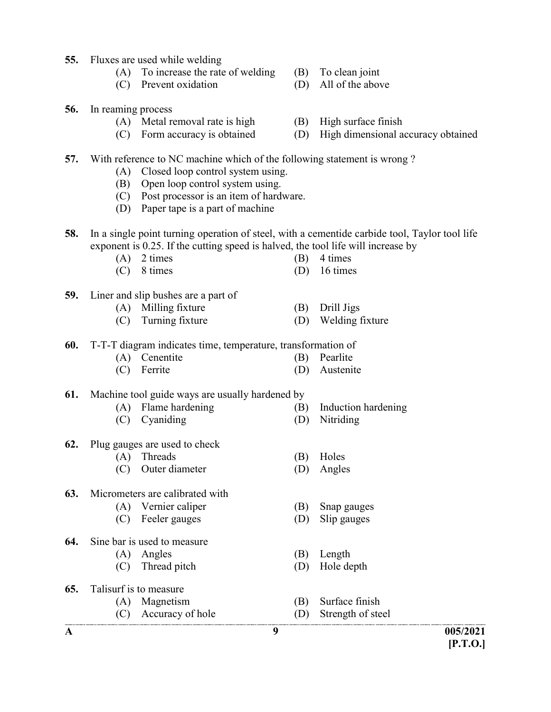- 55. Fluxes are used while welding
	- (A) To increase the rate of welding (B) To clean joint
	- (C) Prevent oxidation (D) All of the above
- 56. In reaming process
	- (A) Metal removal rate is high (B) High surface finish
	-

## 57. With reference to NC machine which of the following statement is wrong ?

- (A) Closed loop control system using.
- (B) Open loop control system using.
- (C) Post processor is an item of hardware.
- (D) Paper tape is a part of machine
- 58. In a single point turning operation of steel, with a cementide carbide tool, Taylor tool life exponent is 0.25. If the cutting speed is halved, the tool life will increase by
	- (A) 2 times (B) 4 times
	- (C) 8 times (D) 16 times
- 59. Liner and slip bushes are a part of
	- (A) Milling fixture (B) Drill Jigs
	- (C) Turning fixture (D) Welding fixture

## 60. T-T-T diagram indicates time, temperature, transformation of

- (A) Cenentite (B) Pearlite (C) Ferrite (D) Austenite
- 

## 61. Machine tool guide ways are usually hardened by

- (A) Flame hardening (B) Induction hardening
- (C) Cyaniding (D) Nitriding

## 62. Plug gauges are used to check

- (A) Threads (B) Holes
- (C) Outer diameter (D) Angles

## 63. Micrometers are calibrated with

- (A) Vernier caliper (B) Snap gauges
- (C) Feeler gauges (D) Slip gauges
- 64. Sine bar is used to measure
	- (A) Angles (B) Length
	- (C) Thread pitch (D) Hole depth
- 65. Talisurf is to measure
	- (A) Magnetism (B) Surface finish
	- (C) Accuracy of hole (D) Strength of steel
		-
- 
- 
- 
- (C) Form accuracy is obtained (D) High dimensional accuracy obtained

A  $9$  005/2021  $[P.T.O.]$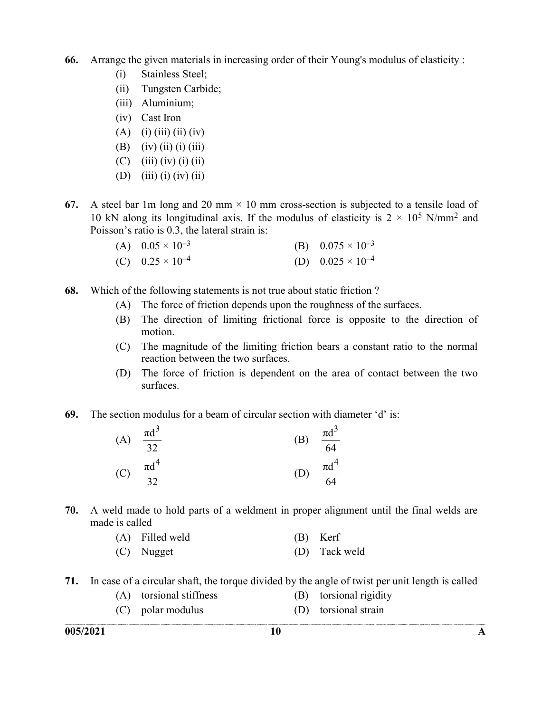- 66. Arrange the given materials in increasing order of their Young's modulus of elasticity :
	- (i) Stainless Steel;
	- (ii) Tungsten Carbide;
	- (iii) Aluminium;
	- (iv) Cast Iron
	- (A) (i) (iii) (ii) (iv)
	- (B) (iv) (ii) (i) (iii)
	- (C)  $(iii)$  (iv) (i) (ii)
	- (D) (iii) (i) (iv) (ii)
- 67. A steel bar 1m long and 20 mm  $\times$  10 mm cross-section is subjected to a tensile load of 10 kN along its longitudinal axis. If the modulus of elasticity is  $2 \times 10^5$  N/mm<sup>2</sup> and Poisson's ratio is 0.3, the lateral strain is:
	- (A)  $0.05 \times 10^{-3}$  (B)  $0.075 \times 10^{-3}$ (C)  $0.25 \times 10^{-4}$  (D)  $0.025 \times 10^{-4}$
- 68. Which of the following statements is not true about static friction ?
	- (A) The force of friction depends upon the roughness of the surfaces.
	- (B) The direction of limiting frictional force is opposite to the direction of motion.
	- (C) The magnitude of the limiting friction bears a constant ratio to the normal reaction between the two surfaces.
	- (D) The force of friction is dependent on the area of contact between the two surfaces.
- 69. The section modulus for a beam of circular section with diameter 'd' is:

| (A)            | $\frac{\pi d^3}{32}$      | (B) | $\frac{\pi d^3}{64}$ |
|----------------|---------------------------|-----|----------------------|
| $\overline{C}$ | $\frac{\pi d^4}{4}$<br>22 | (D) | $\frac{\pi d^4}{64}$ |

70. A weld made to hold parts of a weldment in proper alignment until the final welds are made is called

| (A) Filled weld | $(B)$ Kerf    |
|-----------------|---------------|
| (C) Nugget      | (D) Tack weld |

- 71. In case of a circular shaft, the torque divided by the angle of twist per unit length is called
	- (A) torsional stiffness (B) torsional rigidity
	- (C) polar modulus (D) torsional strain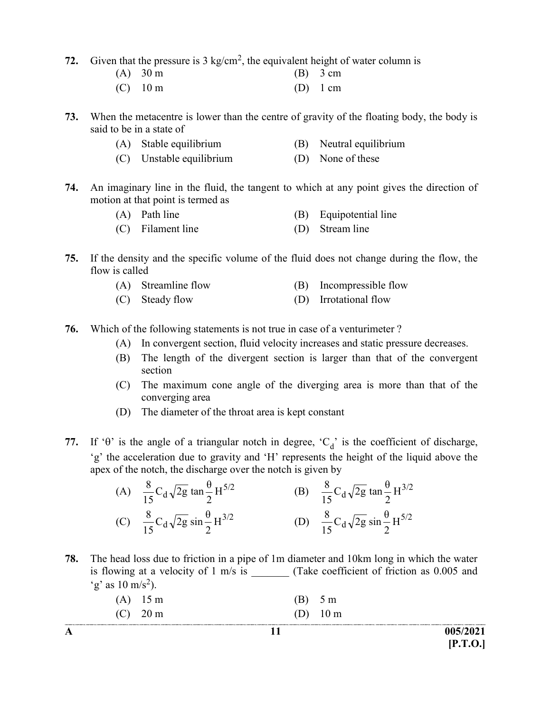72. Given that the pressure is  $3 \text{ kg/cm}^2$ , the equivalent height of water column is

| $(A)$ 30 m |  |  |  | $(B)$ 3 cm |
|------------|--|--|--|------------|
|------------|--|--|--|------------|

(C) 10 m (D) 1 cm

- 73. When the metacentre is lower than the centre of gravity of the floating body, the body is said to be in a state of
	- (A) Stable equilibrium (B) Neutral equilibrium
	- (C) Unstable equilibrium (D) None of these
- 74. An imaginary line in the fluid, the tangent to which at any point gives the direction of motion at that point is termed as
	- (A) Path line (B) Equipotential line
	- (C) Filament line (D) Stream line
- 75. If the density and the specific volume of the fluid does not change during the flow, the flow is called
	- (A) Streamline flow (B) Incompressible flow
	- (C) Steady flow (D) Irrotational flow
- 76. Which of the following statements is not true in case of a venturimeter ?
	- (A) In convergent section, fluid velocity increases and static pressure decreases.
	- (B) The length of the divergent section is larger than that of the convergent section
	- (C) The maximum cone angle of the diverging area is more than that of the converging area
	- (D) The diameter of the throat area is kept constant
- 77. If ' $\theta$ ' is the angle of a triangular notch in degree, ' $C_d$ ' is the coefficient of discharge, 'g' the acceleration due to gravity and 'H' represents the height of the liquid above the apex of the notch, the discharge over the notch is given by

| (A) $\frac{8}{15}C_d\sqrt{2g} \tan{\frac{\theta}{2}}H^{5/2}$  | (B) $\frac{8}{15}C_d\sqrt{2g} \tan{\frac{\theta}{2}}H^{3/2}$ |
|---------------------------------------------------------------|--------------------------------------------------------------|
| (C) $\frac{8}{15}C_{d}\sqrt{2g}\sin{\frac{\theta}{2}}H^{3/2}$ | (D) $\frac{8}{15}C_d\sqrt{2g}\sin{\frac{\theta}{2}}H^{5/2}$  |

78. The head loss due to friction in a pipe of 1m diameter and 10km long in which the water is flowing at a velocity of 1 m/s is  $(Take coefficient of friction as 0.005 and$  $(g'$  as 10 m/s<sup>2</sup>).

| (A) | $15 \text{ m}$ | B)  | 5 <sub>m</sub>                                                                                                                                                                                                                             |
|-----|----------------|-----|--------------------------------------------------------------------------------------------------------------------------------------------------------------------------------------------------------------------------------------------|
|     | $(C)$ 20 m     | (D) | 10 <sub>m</sub>                                                                                                                                                                                                                            |
| A   |                |     | CONTROLL CONFIDENTIAL CONFIDENTIAL CONFIDENTIAL CONFIDENTIAL CONFIDENTIAL CONFIDENTIAL CONFIDENTIAL CONFIDENTIAL CONFIDENTIAL CONFIDENTIAL CONFIDENTIAL CONFIDENTIAL CONFIDENTIAL CONFIDENTIAL CONFIDENTIAL CONFIDENTIAL CONFI<br>005/2021 |
|     |                |     | [P.T.O.]                                                                                                                                                                                                                                   |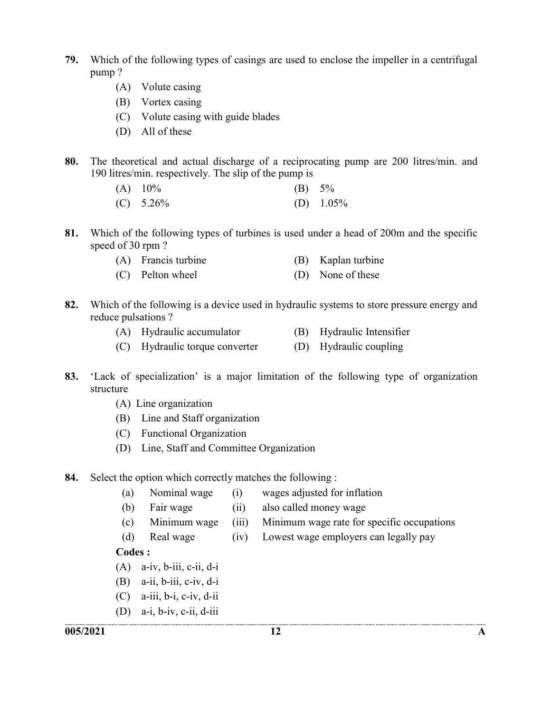- 79. Which of the following types of casings are used to enclose the impeller in a centrifugal pump ?
	- (A) Volute casing
	- (B) Vortex casing
	- (C) Volute casing with guide blades
	- (D) All of these
- 80. The theoretical and actual discharge of a reciprocating pump are 200 litres/min. and 190 litres/min. respectively. The slip of the pump is
	- (A) 10% (B) 5%
	- (C)  $5.26\%$  (D)  $1.05\%$
- 81. Which of the following types of turbines is used under a head of 200m and the specific speed of 30 rpm ?
	- (A) Francis turbine (B) Kaplan turbine
	- (C) Pelton wheel (D) None of these
- 82. Which of the following is a device used in hydraulic systems to store pressure energy and reduce pulsations ?
	- (A) Hydraulic accumulator (B) Hydraulic Intensifier
	- (C) Hydraulic torque converter (D) Hydraulic coupling
- 83. 'Lack of specialization' is a major limitation of the following type of organization structure
	- (A) Line organization
	- (B) Line and Staff organization
	- (C) Functional Organization
	- (D) Line, Staff and Committee Organization
- 84. Select the option which correctly matches the following :
	- (a) Nominal wage (i) wages adjusted for inflation
	- (b) Fair wage (ii) also called money wage
		-
	- (c) Minimum wage (iii) Minimum wage rate for specific occupations
	-
	- (d) Real wage (iv) Lowest wage employers can legally pay

## Codes :

- (A) a-iv, b-iii, c-ii, d-i
- (B) a-ii, b-iii, c-iv, d-i
- (C) a-iii, b-i, c-iv, d-ii
- (D) a-i, b-iv, c-ii, d-iii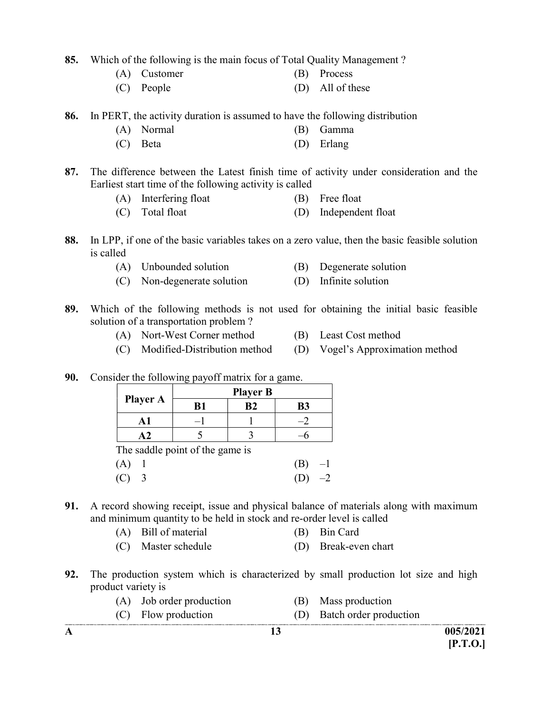85. Which of the following is the main focus of Total Quality Management ?

- (A) Customer (B) Process
- (C) People (D) All of these

86. In PERT, the activity duration is assumed to have the following distribution

- (A) Normal (B) Gamma
- (C) Beta (D) Erlang

87. The difference between the Latest finish time of activity under consideration and the Earliest start time of the following activity is called

- (A) Interfering float (B) Free float
- (C) Total float (D) Independent float
- 88. In LPP, if one of the basic variables takes on a zero value, then the basic feasible solution is called
	-
	- (C) Non-degenerate solution (D) Infinite solution
	- (A) Unbounded solution (B) Degenerate solution
		-
- 89. Which of the following methods is not used for obtaining the initial basic feasible solution of a transportation problem ?
	- (A) Nort-West Corner method (B) Least Cost method
	-
- 
- (C) Modified-Distribution method (D) Vogel's Approximation method
- 90. Consider the following payoff matrix for a game.

|                                 |           | <b>Player B</b> |           |
|---------------------------------|-----------|-----------------|-----------|
| <b>Player A</b>                 | <b>B1</b> | B <sub>2</sub>  | <b>B3</b> |
| A1                              |           |                 |           |
| $\mathbf{A2}$                   |           |                 |           |
| The saddle point of the game is |           |                 |           |
| A                               |           |                 |           |
|                                 |           |                 |           |

91. A record showing receipt, issue and physical balance of materials along with maximum and minimum quantity to be held in stock and re-order level is called

| (A) Bill of material     | (B) Bin Card           |
|--------------------------|------------------------|
| $(\cap)$ Mostor saladyla | $(D)$ Drook over about |

- (C) Master schedule (D) Break-even chart
- 92. The production system which is characterized by small production lot size and high product variety is

| (A) Job order production                                                                   | (B). | Mass production                                                                                                                                                                                                                            |  |
|--------------------------------------------------------------------------------------------|------|--------------------------------------------------------------------------------------------------------------------------------------------------------------------------------------------------------------------------------------------|--|
| (C) Flow production                                                                        |      | (D) Batch order production                                                                                                                                                                                                                 |  |
| CONFIDENTIAL CONFIDENTIAL CONFIDENTIAL CONFIDENTIAL CONFIDENTIAL CONFIDENTIAL CONFIDENTIAL |      | MATERITML CONFIDENTIAL CONFIDENTIAL CONFIDENTIAL CONFIDENTIAL CONFIDENTIAL CONFIDENTIAL CONFIDENTIAL CONFIDENTIAL CONFIDENTIAL CONFIDENTIAL CONFIDENTIAL CONFIDENTIAL CONFIDENTIAL CONFIDENTIAL CONFIDENTIAL CONFIDENTIAL CONF<br>005/2021 |  |
|                                                                                            |      | [P.T.O.]                                                                                                                                                                                                                                   |  |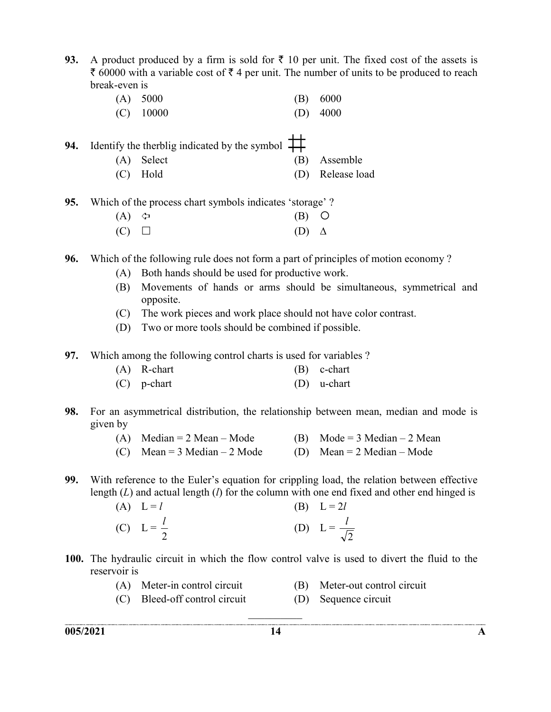93. A product produced by a firm is sold for  $\bar{\tau}$  10 per unit. The fixed cost of the assets is  $\bar{\tau}$  60000 with a variable cost of  $\bar{\tau}$  4 per unit. The number of units to be produced to reach break-even is

|     | (A) | 5000                                                                | (B) | 6000         |
|-----|-----|---------------------------------------------------------------------|-----|--------------|
|     |     | 10000                                                               | (D) | 4000         |
|     |     |                                                                     |     |              |
| 94. |     | Identify the therblig indicated by the symbol $+\frac{1}{\sqrt{2}}$ |     |              |
|     |     | (A) Select                                                          | (B) | Assemble     |
|     |     | Hold                                                                | (D) | Release load |
|     |     |                                                                     |     |              |

95. Which of the process chart symbols indicates 'storage' ?

| $(A)$ $\Leftrightarrow$ | $(B)$ O        |  |
|-------------------------|----------------|--|
| $(C)$ $\Box$            | $(D)$ $\Delta$ |  |

96. Which of the following rule does not form a part of principles of motion economy ?

- (A) Both hands should be used for productive work.
- (B) Movements of hands or arms should be simultaneous, symmetrical and opposite.
- (C) The work pieces and work place should not have color contrast.
- (D) Two or more tools should be combined if possible.
- 97. Which among the following control charts is used for variables ?
	- (A) R-chart (B) c-chart
	- (C) p-chart (D) u-chart
- 98. For an asymmetrical distribution, the relationship between mean, median and mode is given by
	- (A) Median =  $2$  Mean Mode (B) Mode =  $3$  Median  $2$  Mean
	- (C) Mean =  $3$  Median  $-2$  Mode (D) Mean =  $2$  Median Mode
- 99. With reference to the Euler's equation for crippling load, the relation between effective length  $(L)$  and actual length  $(l)$  for the column with one end fixed and other end hinged is

| $(A)$ $L = l$         | (B) $L = 2l$                 |
|-----------------------|------------------------------|
| (C) $L = \frac{l}{2}$ | (D) $L = \frac{l}{\sqrt{2}}$ |

- 100. The hydraulic circuit in which the flow control valve is used to divert the fluid to the reservoir is
	- (A) Meter-in control circuit (B) Meter-out control circuit
	- (C) Bleed-off control circuit (D) Sequence circuit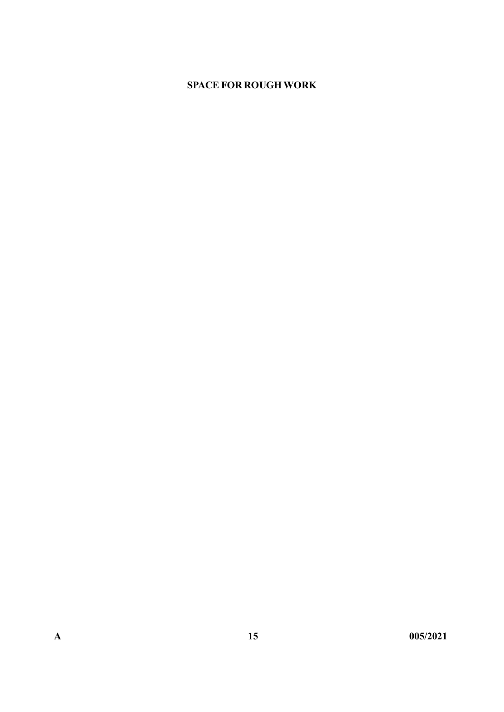## SPACE FOR ROUGH WORK